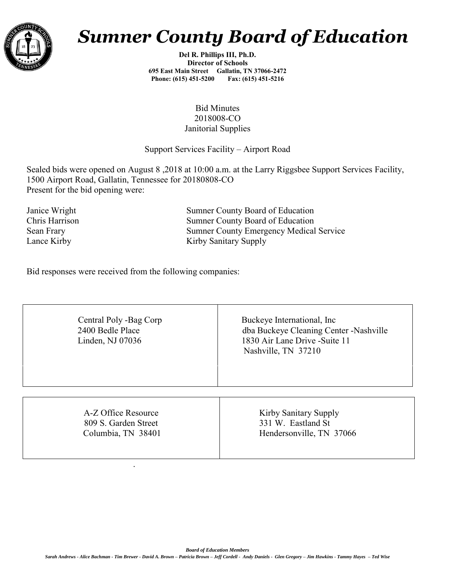

## *Sumner County Board of Education*

**Del R. Phillips III, Ph.D. Director of Schools 695 East Main Street Gallatin, TN 37066-2472 Phone: (615) 451-5200 Fax: (615) 451-5216** 

## Bid Minutes 2018008-CO Janitorial Supplies

## Support Services Facility – Airport Road

Sealed bids were opened on August 8 ,2018 at 10:00 a.m. at the Larry Riggsbee Support Services Facility, 1500 Airport Road, Gallatin, Tennessee for 20180808-CO Present for the bid opening were:

Janice Wright Sumner County Board of Education Chris Harrison Sumner County Board of Education Sean Frary Sumner County Emergency Medical Service Lance Kirby Sanitary Supply

Bid responses were received from the following companies:

.

| Central Poly -Bag Corp<br>2400 Bedle Place<br>Linden, NJ 07036 | Buckeye International, Inc.<br>dba Buckeye Cleaning Center -Nashville<br>1830 Air Lane Drive -Suite 11<br>Nashville, TN 37210 |  |  |  |  |  |
|----------------------------------------------------------------|-------------------------------------------------------------------------------------------------------------------------------|--|--|--|--|--|
| A-Z Office Resource                                            | Kirby Sanitary Supply                                                                                                         |  |  |  |  |  |
| 809 S. Garden Street                                           | 331 W. Eastland St                                                                                                            |  |  |  |  |  |
| Columbia, TN 38401                                             | Hendersonville, TN 37066                                                                                                      |  |  |  |  |  |